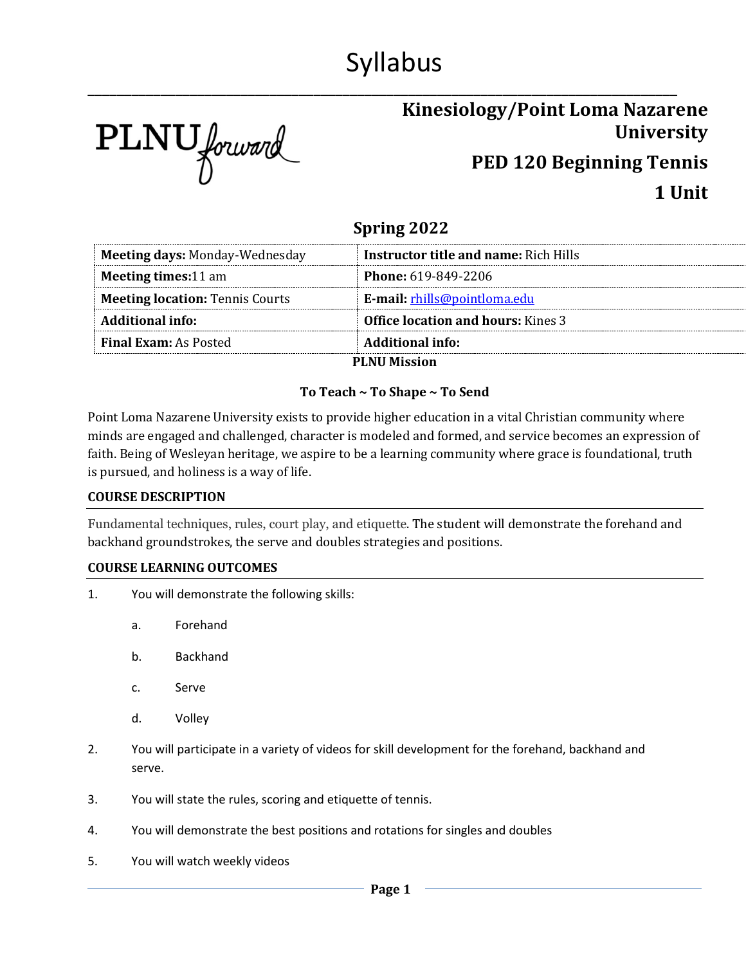# Syllabus

\_\_\_\_\_\_\_\_\_\_\_\_\_\_\_\_\_\_\_\_\_\_\_\_\_\_\_\_\_\_\_\_\_\_\_\_\_\_\_\_\_\_\_\_\_\_\_\_\_\_\_\_\_\_\_\_\_\_\_\_\_\_\_\_\_\_\_\_\_\_\_\_\_\_\_\_\_\_\_\_\_

PLNU forward

## **Kinesiology/Point Loma Nazarene University PED 120 Beginning Tennis 1 Unit**

### **Spring 2022**

| <b>Meeting days: Monday-Wednesday</b>  | <b>Instructor title and name: Rich Hills</b> |
|----------------------------------------|----------------------------------------------|
| <b>Meeting times:11 am</b>             | <b>Phone: 619-849-2206</b>                   |
| <b>Meeting location: Tennis Courts</b> | E-mail: rhills@pointloma.edu                 |
| Additional info:                       | <b>Office location and hours:</b> Kines 3    |
| <b>Final Exam:</b> As Posted           | <b>Additional info:</b>                      |
|                                        | <b>DI NII Miccion</b>                        |

**PLNU Mission**

#### **To Teach ~ To Shape ~ To Send**

Point Loma Nazarene University exists to provide higher education in a vital Christian community where minds are engaged and challenged, character is modeled and formed, and service becomes an expression of faith. Being of Wesleyan heritage, we aspire to be a learning community where grace is foundational, truth is pursued, and holiness is a way of life.

#### **COURSE DESCRIPTION**

Fundamental techniques, rules, court play, and etiquette. The student will demonstrate the forehand and backhand groundstrokes, the serve and doubles strategies and positions.

#### **COURSE LEARNING OUTCOMES**

- 1. You will demonstrate the following skills:
	- a. Forehand
	- b. Backhand
	- c. Serve
	- d. Volley
- 2. You will participate in a variety of videos for skill development for the forehand, backhand and serve.
- 3. You will state the rules, scoring and etiquette of tennis.
- 4. You will demonstrate the best positions and rotations for singles and doubles
- 5. You will watch weekly videos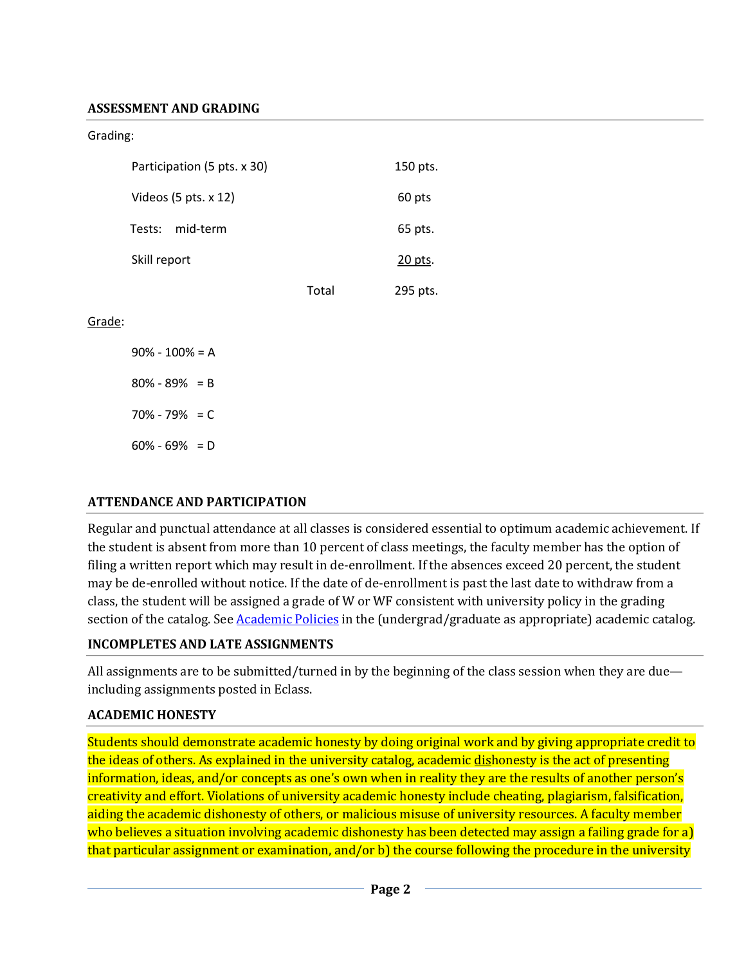#### **ASSESSMENT AND GRADING**

Grading:

| Participation (5 pts. x 30)     |       | 150 pts. |
|---------------------------------|-------|----------|
| Videos $(5 \text{ pts. } x 12)$ |       | 60 pts   |
| mid-term<br>Tests:              |       | 65 pts.  |
| Skill report                    |       | 20 pts.  |
|                                 | Total | 295 pts. |

Grade:

 $90\% - 100\% = A$ 80% - 89% = B 70% - 79% = C  $60\% - 69\% = D$ 

#### **ATTENDANCE AND PARTICIPATION**

Regular and punctual attendance at all classes is considered essential to optimum academic achievement. If the student is absent from more than 10 percent of class meetings, the faculty member has the option of filing a written report which may result in de-enrollment. If the absences exceed 20 percent, the student may be de-enrolled without notice. If the date of de-enrollment is past the last date to withdraw from a class, the student will be assigned a grade of W or WF consistent with university policy in the grading section of the catalog. See [Academic Policies](http://www.pointloma.edu/experience/academics/catalogs/undergraduate-catalog/point-loma-education/academic-policies) in the (undergrad/graduate as appropriate) academic catalog.

#### **INCOMPLETES AND LATE ASSIGNMENTS**

All assignments are to be submitted/turned in by the beginning of the class session when they are due including assignments posted in Eclass.

#### **ACADEMIC HONESTY**

Students should demonstrate academic honesty by doing original work and by giving appropriate credit to the ideas of others. As explained in the university catalog, academic dishonesty is the act of presenting information, ideas, and/or concepts as one's own when in reality they are the results of another person's creativity and effort. Violations of university academic honesty include cheating, plagiarism, falsification, aiding the academic dishonesty of others, or malicious misuse of university resources. A faculty member who believes a situation involving academic dishonesty has been detected may assign a failing grade for a) that particular assignment or examination, and/or b) the course following the procedure in the university